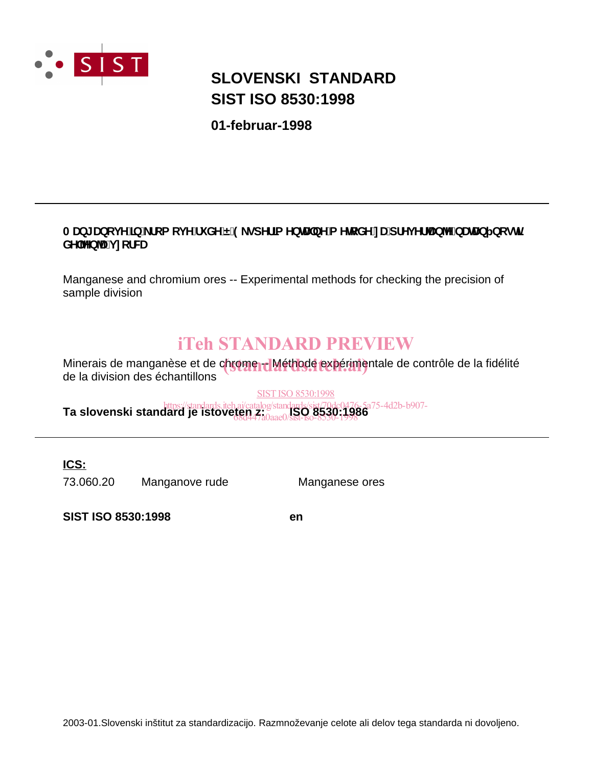

# **SIST ISO 8530:1998 SLOVENSKI STANDARD**

**01-februar-1998**

### AUb[UbcjY]b`\_fcacjYfi XYË'9\_gdYf]a YbHJbYa YhcXY'nUdfYj YfUbY'bUHJb bcgh **KY YbU** jncfWU

Manganese and chromium ores -- Experimental methods for checking the precision of sample division

# iTeh STANDARD PREVIEW

Minerais de manganèse et de chrome -- Méthode expérimentale de contrôle de la fidélité<br>de la division des échaptillens de la division des échantillons

SIST ISO 8530:1998

**Ta slovenski standard je istoveten z:** *Islamdards/sist/70dc0476-5a75-4d2b-b907-*<br>**Ta slovenski standard je istoveten z: ISQ 8530:1986** 68d447a0aae0/sist-iso-8530-1998

**ICS:**

73.060.20 Manganove rude Manganese ores

**SIST ISO 8530:1998 en**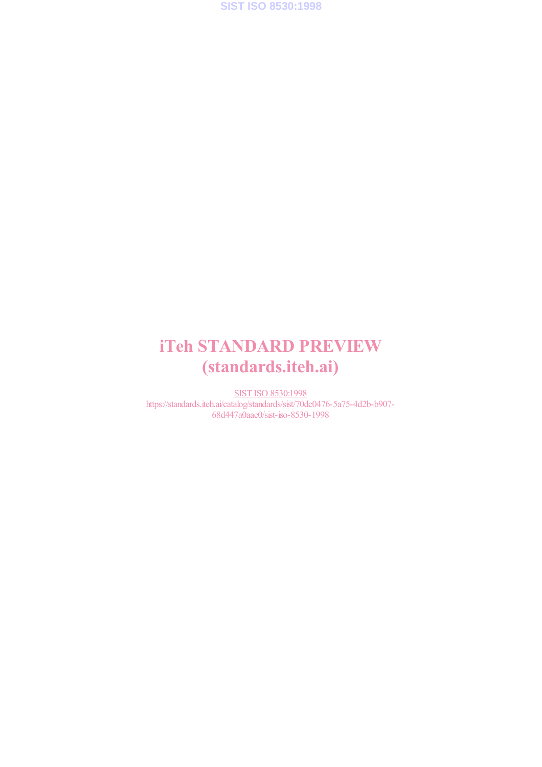**SIST ISO 8530:1998**

# iTeh STANDARD PREVIEW (standards.iteh.ai)

SIST ISO 8530:1998 https://standards.iteh.ai/catalog/standards/sist/70dc0476-5a75-4d2b-b907- 68d447a0aae0/sist-iso-8530-1998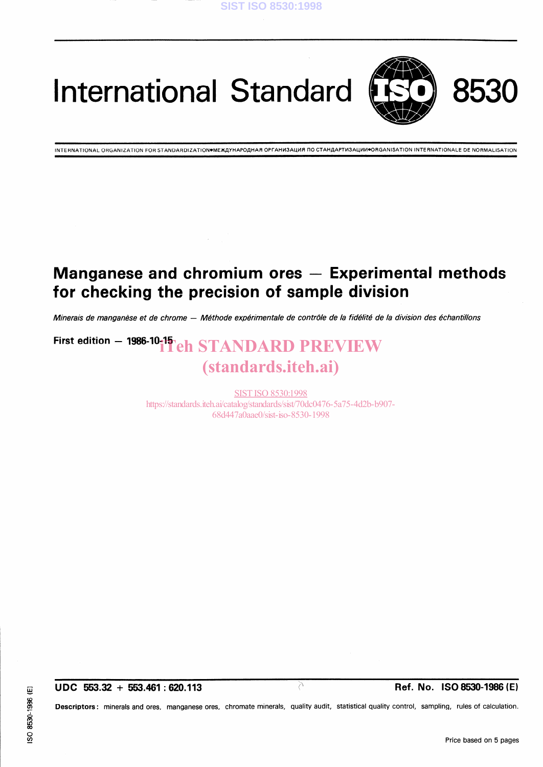

International Standard



INTERNATIONAL ORGANIZATION FOR STANDARDIZATION●MEЖДУНАРОДНАЯ ОРГАНИЗАЦИЯ ПО СТАНДАРТИЗАЦИИ●ОRGANISATION INTERNATIONALE DE NORMALISATION

## Manganese and chromium ores  $-$  Experimental methods for checking the precision of Sample division

Minerais de manganèse et de chrome - Méthode expérimentale de contrôle de la fidélité de la division des échantillons

# First edition  $-$  1986-10-11  $\Gamma$  eh STANDARD PREVIEW (standards.iteh.ai)

SIST ISO 8530:1998 https://standards.iteh.ai/catalog/standards/sist/70dc0476-5a75-4d2b-b907- 68d447a0aae0/sist-iso-8530-1998

Descriptors: minerals and ores, manganese ores, chromate minerals, quality audit, statistical quality control, sampling, rules of calculation.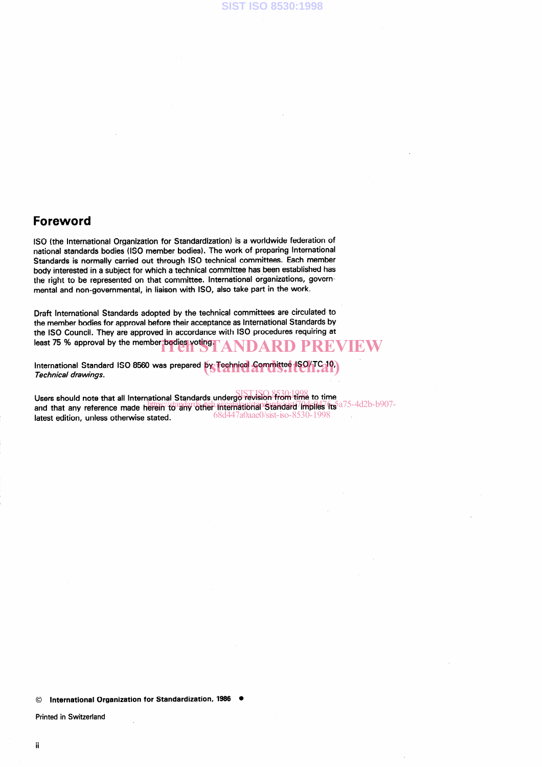### Foreword

ISO (the International Organization for Standardization) is a worldwide federation of national Standards bodies (ISO member bodies). The work of preparing International Standards is normally carried out through ISO technical committees. Esch member body interested in a subject for which a technical committee has been established has the right to be represented on that committee. International organizations, governmental and non-governmental, in liaison with ISO, also take patt in the work.

Draft International Standards adopted by the technical committees are circulated to the member bodies for approval before their acceptance as International Standards by the ISO Council. They are approved in accordance with ISO procedures requiring at least 75 % approval by the member bodies voting. ANDARD PREVIEW

International Standard ISO 8560 was prepared **by Technical Sommittee ISO/TC 10**)<br>*Technical drawings* Technical drawings.

Users should note that all International Standards undergo revision from time to time sens should note that an international Standards. The process conservation in the magnetic standard in the same standard in the same standard in the same standard in the same standard in the same standard in the same stand latest edition, unless otherwise stated. 68d447a0aae0/sist-iso-8530-1998

© International Organization for Standardization, 1986 .

Printed in Switzerland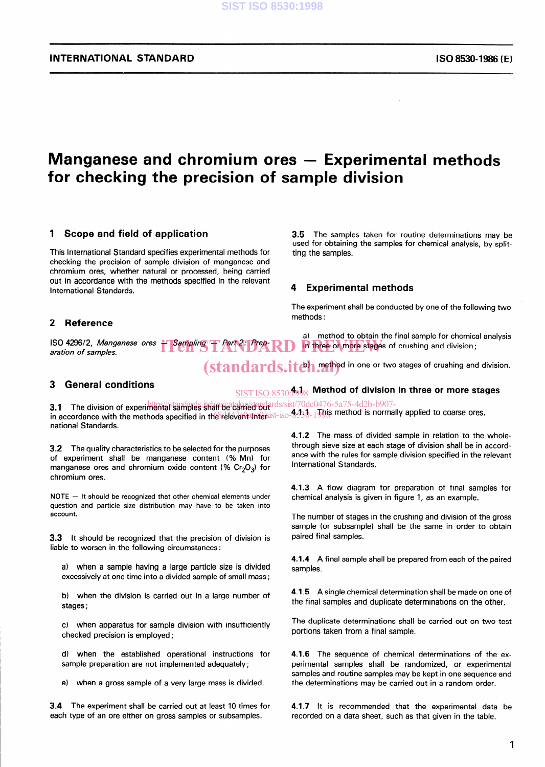~~

## Manganese and chromium ores  $-$  Experimental methods for checking the precision of Sample division

#### 1 Scope and field of application

This International Standard specifies experimental methods for checking the precision of Sample division of manganese and chromium ores, whether natural or processed, being carried out in accordance with the methods specified in the relevant International Standards.

#### 2 Reference

ISO 4296/2, Manganese ores - Sampling - Part 2: Prep-RD The three or more stages of<br>aration of samples. aration of samples.

3.5 The samples taken for routine determinations may be used for obtaining the samples for Chemical analysis, by splitting the samples.

#### **Experimental methods**

The experiment shall be conducted by one of the following two methods :

a) method to obtain the final sample for chemical analysis in three or more stages of crushing and division;

(standards.itch.rethod in one or two stages of crushing and division.

#### 3 General conditions

 $\frac{\mathrm{SIST~ISO~8530:}4998}{\mathrm{SIST~ISO~8530:}4998}$  Method of division in three or more stage

3.1 The division of experimental samples than be cannot reds/sist/70dc0476-5a75-4d2b-b907-3. This division of experimental samples shall be carried out<br>in accordance with the methods specified in the relevant Intersist-iso-8530-10 bis method is normally applied to coarse ores. national Standards.

3.2 The quality characteristics to be selected for the purposes of experiment shall be manganese content (% Mn) for manganese ores and chromium oxide content (%  $Cr_2O_3$ ) for chromium ores.

 $NOTE - It should be recognized that other chemical elements under$ question and particle size distribution may have to be taken into account.

3.3 lt should be recognized that the precision of division is liable to worsen in the following circumstances:

a) when a Sample having a large particle size is divided excessively at one time into a divided sample of small mass;

b) when the division is carried out in a large number of stages ;

c) when apparatus for Sample division with insufficiently checked precision is employed ;

d) when the established operational instructions for sample preparation are not implemented adequately;

e) when a gross Sample of a very large mass is divided.

3.4 The experiment shall be carried out at least 10 times for each type of an ore either on gross samples or subsamples.

4.1.2 The mass of divided Sample in relation to the wholethrough sieve size at each stage of division shall be in accordance with the rules for sample division specified in the relevant International Standards.

4.1.3 A flow diagram for preparation of final samples for Chemical analysis is given in figure 1, as an example.

The number of stages in the crushing and division of the gross sample (or subsample) shall be the same in order to obtain paired final samples.

4.1.4 A final sample shall be prepared from each of the paired samples.

4.1.5 A single chemical determination shall be made on one of the final samples and duplicate determinations on the other.

The duplicate determinations shall be carried out on two test portions taken from a final sample.

4.1.6 The sequence of chemical determinations of the experimental samples shall be randomized, or experimental samples and routine samples may be kept in one sequence and the determinations may be carried out in a random Order.

4.1.7 lt is recommended that the experimental data be recorded on a data sheet, such as that given in the table.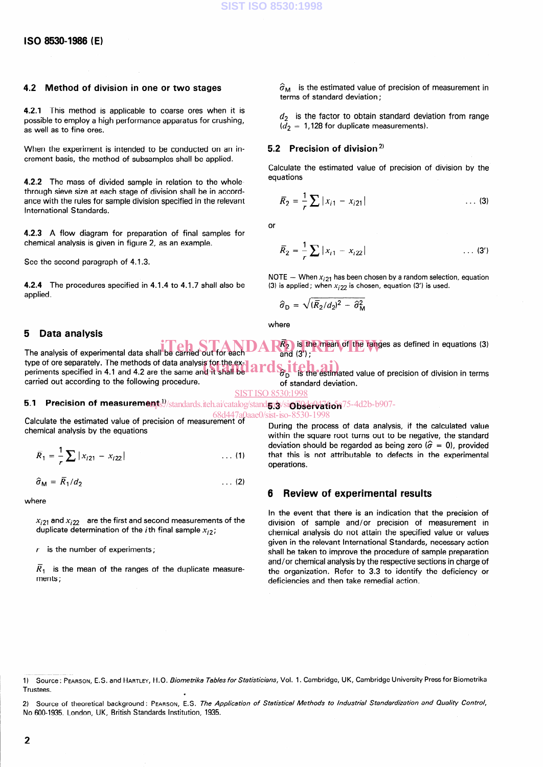### 4.2 Method of division in one or two stages

4.2.1 This method is applicable to coarse ores when it is possible to employ a high performance apparatus for crushing, as weil as to fine ores.

When the experiment is intended to be conducted on an increment basis, the method of subsamples shall be applied.

4.2.2 The mass of divided sample in relation to the whole through sieve size at each stage of division shall be in accordance with the rules for sample division specified in the relevant International Standards.

4.2.3 A flow diagram for preparation of final samples for Chemical analysis is given in figure 2, as an example.

See the second paragraph of 4.1.3.

4.2.4 The procedures specified in 4.1.4 to 4.1.7 shall also be applied.

#### 5 Data analysis

#### $\widehat{\sigma}_{\mathsf{M}}\;$  is the estimated value of precision of measurement terms of standard deviation:

 $d_2$  is the factor to obtain standard deviation from range  $\overline{d}_2$  = 1,128 for duplicate measurements).

#### 5.2 Precision of division<sup>2)</sup>

Calculate the estimated value of precision of division by the equations

$$
\overline{R}_2 = \frac{1}{r} \sum |x_{i1} - x_{i21}| \qquad \qquad \dots \text{ (3)}
$$

or

$$
\overline{R}_2 = \frac{1}{r} \sum |x_{i1} - x_{i22}| \qquad \qquad \dots \text{ (3')}
$$

NOTE - When  $x_{i21}$  has been chosen by a random selection, equation (3) is applied; when  $x_{i22}$  is chosen, equation (3') is used.

$$
\hat{\sigma}_{\rm D} = \sqrt{(\bar{R}_2/d_2)^2 - \hat{\sigma}_{\rm M}^2}
$$

where

The analysis of experimental data shall be carried out for each type of ore separately. The methods of data analysis for the ex**in Teh STANDAR**<sup>2</sup> is the mean of the ranges as defined in equations (3) be carried out for each  $AR_2$  is the mean of the ranges as defined in equations (3) and (3');

type of ore separately. The methods of data analysis for the ex-<br>periments specified in 4.1 and 4.2 are the same and it shall be **and started** is the estimated value of precision of division in terms carried out according to the following procedure. of standard deviation.

SIST ISO 8530:1998

### 5.1 Precision of measurements: //standards.iteh.ai/catalog/stand5; w/siobservation<sup>75-4d2b-b907-</sup>

Calculate the estimated value of precision of measurement of 68d447a0aae0/sist-iso-8530-1998Chemical analysis by the equations

$$
\overline{R}_1 = \frac{1}{r} \sum |x_{i21} - x_{i22}| \qquad \qquad \dots (1)
$$

$$
\hat{\sigma}_{\mathsf{M}} = \overline{R}_1 / d_2 \tag{2}
$$

where

 $x_{22}$  and  $x_{22}$  are the first and second measurements of the duplicate determination of the *i*th final sample  $x_{i2}$ ;

 $r$  is the number of experiments;

 $\overline{R}_{\epsilon}$  is the mean of the ranges of the duplicate measure ments ;

During the process of data analysis, if the calculated value within the square root turns out to be negative, the standard deviation should be regarded as being zero ( $\hat{\sigma} = 0$ ), provided that this is not attributable to defects in the experimental operations.

#### 6 Review of experimental results

In the event that there is an indication that the precision of division of Sample and/or precision of measurement in Chemical analysis do not attain the specified value or values given in the relevant International Standards, necessary action shall be taken to improve the procedure of Sample preparation and/or Chemical analysis by the respective sections in Charge of the organization. Refer to 3.3 to identify the deficiency or deficiencies and then take remedial action.

2) Source of theoretical background: PEARSON, E.S. The Application of Statistical Methods to Industrial Standardization and Quality Control 2) Source of theoretical background: PEARSON, E.S. The A, No 600-1935. London, UK, British Standards Institution, 1935.

<sup>1)</sup> Source : PEARSON, E.S. and HARTLEY, H.O. Biome trika Tables for Statisticians, Vol. 1. Cambridge, UK, Cambridge University Press for Biometrika **Trustees.**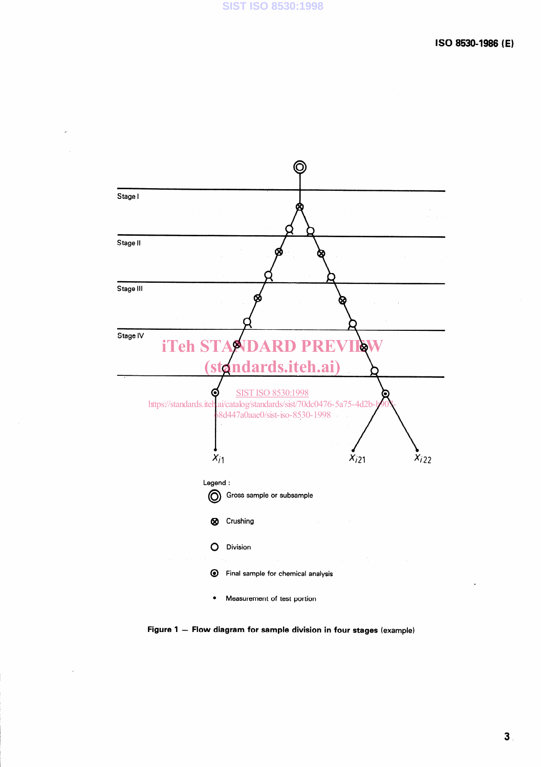

Figure 1 - Flow diagram for sample division in four stages (example)